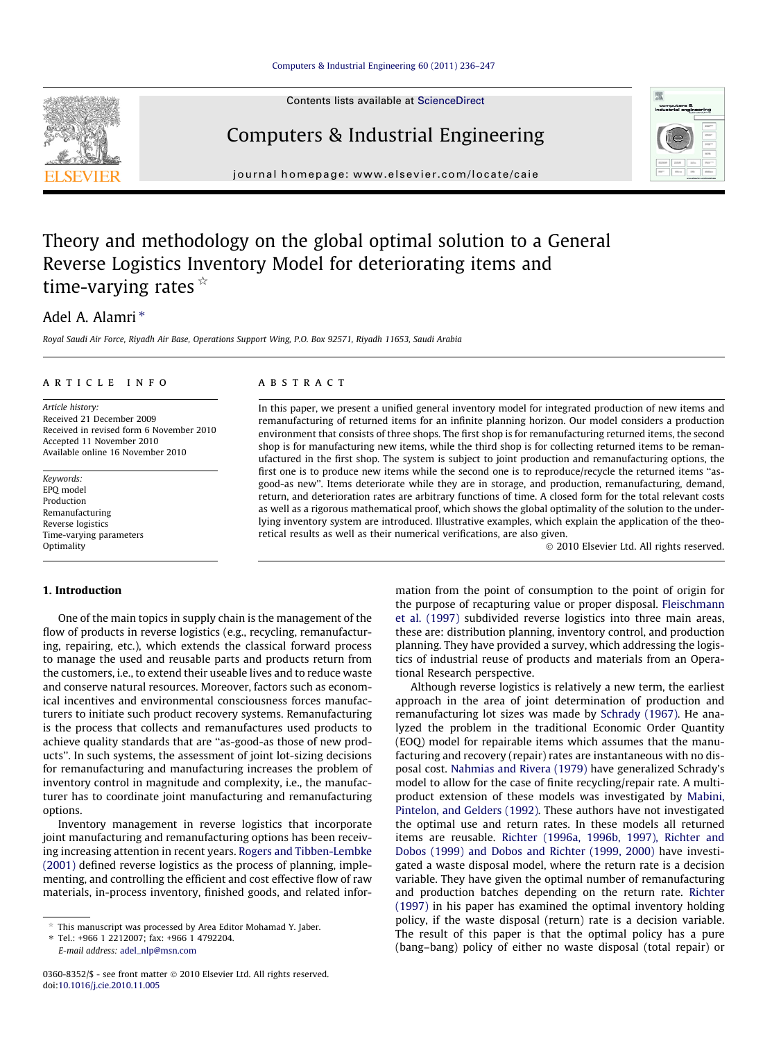#### [Computers & Industrial Engineering 60 \(2011\) 236–247](http://dx.doi.org/10.1016/j.cie.2010.11.005)

Contents lists available at [ScienceDirect](http://www.sciencedirect.com/science/journal/03608352)

## Computers & Industrial Engineering

journal homepage: [www.elsevier.com/locate/caie](http://www.elsevier.com/locate/caie)

# Theory and methodology on the global optimal solution to a General Reverse Logistics Inventory Model for deteriorating items and time-varying rates  $\sqrt[k]{ }$

### Adel A. Alamri<sup>\*</sup>

Royal Saudi Air Force, Riyadh Air Base, Operations Support Wing, P.O. Box 92571, Riyadh 11653, Saudi Arabia

#### article info

Article history: Received 21 December 2009 Received in revised form 6 November 2010 Accepted 11 November 2010 Available online 16 November 2010

Keywords: EPQ model Production Remanufacturing Reverse logistics Time-varying parameters Optimality

#### **ABSTRACT**

In this paper, we present a unified general inventory model for integrated production of new items and remanufacturing of returned items for an infinite planning horizon. Our model considers a production environment that consists of three shops. The first shop is for remanufacturing returned items, the second shop is for manufacturing new items, while the third shop is for collecting returned items to be remanufactured in the first shop. The system is subject to joint production and remanufacturing options, the first one is to produce new items while the second one is to reproduce/recycle the returned items ''asgood-as new''. Items deteriorate while they are in storage, and production, remanufacturing, demand, return, and deterioration rates are arbitrary functions of time. A closed form for the total relevant costs as well as a rigorous mathematical proof, which shows the global optimality of the solution to the underlying inventory system are introduced. Illustrative examples, which explain the application of the theoretical results as well as their numerical verifications, are also given.

- 2010 Elsevier Ltd. All rights reserved.

#### 1. Introduction

One of the main topics in supply chain is the management of the flow of products in reverse logistics (e.g., recycling, remanufacturing, repairing, etc.), which extends the classical forward process to manage the used and reusable parts and products return from the customers, i.e., to extend their useable lives and to reduce waste and conserve natural resources. Moreover, factors such as economical incentives and environmental consciousness forces manufacturers to initiate such product recovery systems. Remanufacturing is the process that collects and remanufactures used products to achieve quality standards that are ''as-good-as those of new products''. In such systems, the assessment of joint lot-sizing decisions for remanufacturing and manufacturing increases the problem of inventory control in magnitude and complexity, i.e., the manufacturer has to coordinate joint manufacturing and remanufacturing options.

Inventory management in reverse logistics that incorporate joint manufacturing and remanufacturing options has been receiving increasing attention in recent years. [Rogers and Tibben-Lembke](#page--1-0) [\(2001\)](#page--1-0) defined reverse logistics as the process of planning, implementing, and controlling the efficient and cost effective flow of raw materials, in-process inventory, finished goods, and related infor-

⇑ Tel.: +966 1 2212007; fax: +966 1 4792204. E-mail address: [adel\\_nlp@msn.com](mailto:adel_nlp@msn.com)

mation from the point of consumption to the point of origin for the purpose of recapturing value or proper disposal. [Fleischmann](#page--1-0) [et al. \(1997\)](#page--1-0) subdivided reverse logistics into three main areas, these are: distribution planning, inventory control, and production planning. They have provided a survey, which addressing the logistics of industrial reuse of products and materials from an Operational Research perspective.

Although reverse logistics is relatively a new term, the earliest approach in the area of joint determination of production and remanufacturing lot sizes was made by [Schrady \(1967\).](#page--1-0) He analyzed the problem in the traditional Economic Order Quantity (EOQ) model for repairable items which assumes that the manufacturing and recovery (repair) rates are instantaneous with no disposal cost. [Nahmias and Rivera \(1979\)](#page--1-0) have generalized Schrady's model to allow for the case of finite recycling/repair rate. A multiproduct extension of these models was investigated by [Mabini,](#page--1-0) [Pintelon, and Gelders \(1992\).](#page--1-0) These authors have not investigated the optimal use and return rates. In these models all returned items are reusable. [Richter \(1996a, 1996b, 1997\), Richter and](#page--1-0) [Dobos \(1999\) and Dobos and Richter \(1999, 2000\)](#page--1-0) have investigated a waste disposal model, where the return rate is a decision variable. They have given the optimal number of remanufacturing and production batches depending on the return rate. [Richter](#page--1-0) [\(1997\)](#page--1-0) in his paper has examined the optimal inventory holding policy, if the waste disposal (return) rate is a decision variable. The result of this paper is that the optimal policy has a pure (bang–bang) policy of either no waste disposal (total repair) or





This manuscript was processed by Area Editor Mohamad Y. Jaber.

<sup>0360-8352/\$ -</sup> see front matter © 2010 Elsevier Ltd. All rights reserved. doi:[10.1016/j.cie.2010.11.005](http://dx.doi.org/10.1016/j.cie.2010.11.005)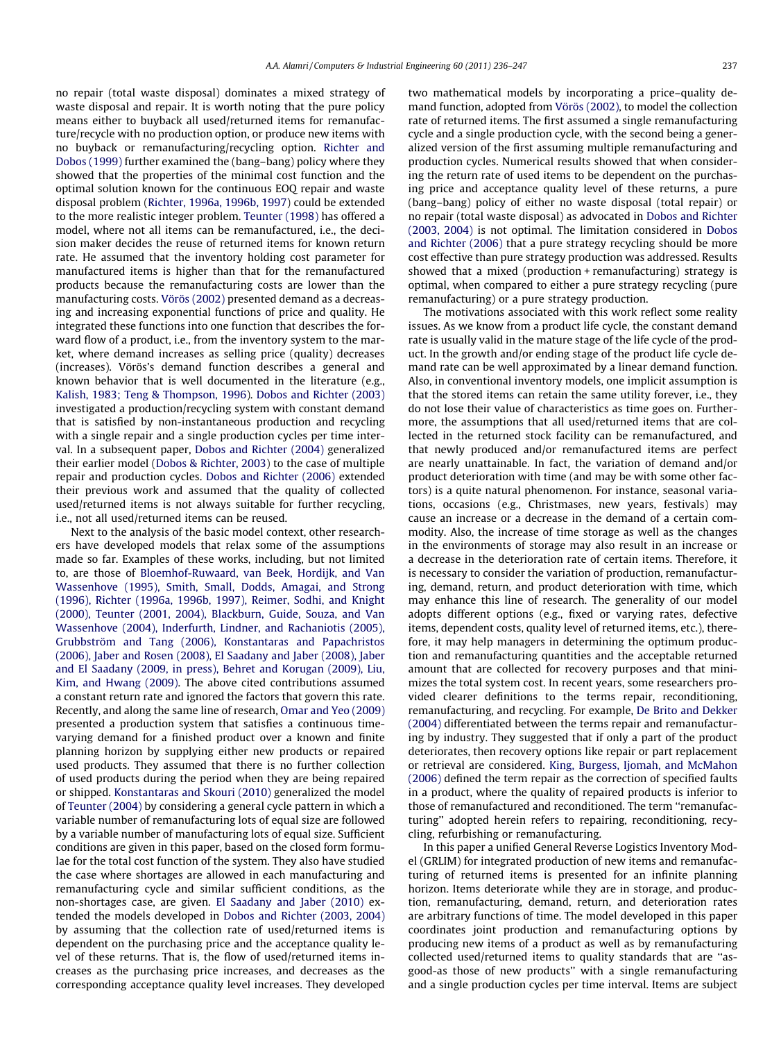no repair (total waste disposal) dominates a mixed strategy of waste disposal and repair. It is worth noting that the pure policy means either to buyback all used/returned items for remanufacture/recycle with no production option, or produce new items with no buyback or remanufacturing/recycling option. [Richter and](#page--1-0) [Dobos \(1999\)](#page--1-0) further examined the (bang–bang) policy where they showed that the properties of the minimal cost function and the optimal solution known for the continuous EOQ repair and waste disposal problem ([Richter, 1996a, 1996b, 1997\)](#page--1-0) could be extended to the more realistic integer problem. [Teunter \(1998\)](#page--1-0) has offered a model, where not all items can be remanufactured, i.e., the decision maker decides the reuse of returned items for known return rate. He assumed that the inventory holding cost parameter for manufactured items is higher than that for the remanufactured products because the remanufacturing costs are lower than the manufacturing costs. [Vörös \(2002\)](#page--1-0) presented demand as a decreasing and increasing exponential functions of price and quality. He integrated these functions into one function that describes the forward flow of a product, i.e., from the inventory system to the market, where demand increases as selling price (quality) decreases (increases). Vörös's demand function describes a general and known behavior that is well documented in the literature (e.g., [Kalish, 1983; Teng & Thompson, 1996\)](#page--1-0). [Dobos and Richter \(2003\)](#page--1-0) investigated a production/recycling system with constant demand that is satisfied by non-instantaneous production and recycling with a single repair and a single production cycles per time interval. In a subsequent paper, [Dobos and Richter \(2004\)](#page--1-0) generalized their earlier model ([Dobos & Richter, 2003](#page--1-0)) to the case of multiple repair and production cycles. [Dobos and Richter \(2006\)](#page--1-0) extended their previous work and assumed that the quality of collected used/returned items is not always suitable for further recycling, i.e., not all used/returned items can be reused.

Next to the analysis of the basic model context, other researchers have developed models that relax some of the assumptions made so far. Examples of these works, including, but not limited to, are those of [Bloemhof-Ruwaard, van Beek, Hordijk, and Van](#page--1-0) [Wassenhove \(1995\), Smith, Small, Dodds, Amagai, and Strong](#page--1-0) [\(1996\), Richter \(1996a, 1996b, 1997\), Reimer, Sodhi, and Knight](#page--1-0) [\(2000\), Teunter \(2001, 2004\), Blackburn, Guide, Souza, and Van](#page--1-0) [Wassenhove \(2004\), Inderfurth, Lindner, and Rachaniotis \(2005\),](#page--1-0) [Grubbström and Tang \(2006\), Konstantaras and Papachristos](#page--1-0) [\(2006\), Jaber and Rosen \(2008\), El Saadany and Jaber \(2008\), Jaber](#page--1-0) [and El Saadany \(2009, in press\), Behret and Korugan \(2009\), Liu,](#page--1-0) [Kim, and Hwang \(2009\).](#page--1-0) The above cited contributions assumed a constant return rate and ignored the factors that govern this rate. Recently, and along the same line of research, [Omar and Yeo \(2009\)](#page--1-0) presented a production system that satisfies a continuous timevarying demand for a finished product over a known and finite planning horizon by supplying either new products or repaired used products. They assumed that there is no further collection of used products during the period when they are being repaired or shipped. [Konstantaras and Skouri \(2010\)](#page--1-0) generalized the model of [Teunter \(2004\)](#page--1-0) by considering a general cycle pattern in which a variable number of remanufacturing lots of equal size are followed by a variable number of manufacturing lots of equal size. Sufficient conditions are given in this paper, based on the closed form formulae for the total cost function of the system. They also have studied the case where shortages are allowed in each manufacturing and remanufacturing cycle and similar sufficient conditions, as the non-shortages case, are given. [El Saadany and Jaber \(2010\)](#page--1-0) extended the models developed in [Dobos and Richter \(2003, 2004\)](#page--1-0) by assuming that the collection rate of used/returned items is dependent on the purchasing price and the acceptance quality level of these returns. That is, the flow of used/returned items increases as the purchasing price increases, and decreases as the corresponding acceptance quality level increases. They developed two mathematical models by incorporating a price–quality demand function, adopted from [Vörös \(2002\)](#page--1-0), to model the collection rate of returned items. The first assumed a single remanufacturing cycle and a single production cycle, with the second being a generalized version of the first assuming multiple remanufacturing and production cycles. Numerical results showed that when considering the return rate of used items to be dependent on the purchasing price and acceptance quality level of these returns, a pure (bang–bang) policy of either no waste disposal (total repair) or no repair (total waste disposal) as advocated in [Dobos and Richter](#page--1-0) [\(2003, 2004\)](#page--1-0) is not optimal. The limitation considered in [Dobos](#page--1-0) [and Richter \(2006\)](#page--1-0) that a pure strategy recycling should be more cost effective than pure strategy production was addressed. Results showed that a mixed (production + remanufacturing) strategy is optimal, when compared to either a pure strategy recycling (pure remanufacturing) or a pure strategy production.

The motivations associated with this work reflect some reality issues. As we know from a product life cycle, the constant demand rate is usually valid in the mature stage of the life cycle of the product. In the growth and/or ending stage of the product life cycle demand rate can be well approximated by a linear demand function. Also, in conventional inventory models, one implicit assumption is that the stored items can retain the same utility forever, i.e., they do not lose their value of characteristics as time goes on. Furthermore, the assumptions that all used/returned items that are collected in the returned stock facility can be remanufactured, and that newly produced and/or remanufactured items are perfect are nearly unattainable. In fact, the variation of demand and/or product deterioration with time (and may be with some other factors) is a quite natural phenomenon. For instance, seasonal variations, occasions (e.g., Christmases, new years, festivals) may cause an increase or a decrease in the demand of a certain commodity. Also, the increase of time storage as well as the changes in the environments of storage may also result in an increase or a decrease in the deterioration rate of certain items. Therefore, it is necessary to consider the variation of production, remanufacturing, demand, return, and product deterioration with time, which may enhance this line of research. The generality of our model adopts different options (e.g., fixed or varying rates, defective items, dependent costs, quality level of returned items, etc.), therefore, it may help managers in determining the optimum production and remanufacturing quantities and the acceptable returned amount that are collected for recovery purposes and that minimizes the total system cost. In recent years, some researchers provided clearer definitions to the terms repair, reconditioning, remanufacturing, and recycling. For example, [De Brito and Dekker](#page--1-0) [\(2004\)](#page--1-0) differentiated between the terms repair and remanufacturing by industry. They suggested that if only a part of the product deteriorates, then recovery options like repair or part replacement or retrieval are considered. [King, Burgess, Ijomah, and McMahon](#page--1-0) [\(2006\)](#page--1-0) defined the term repair as the correction of specified faults in a product, where the quality of repaired products is inferior to those of remanufactured and reconditioned. The term ''remanufacturing'' adopted herein refers to repairing, reconditioning, recycling, refurbishing or remanufacturing.

In this paper a unified General Reverse Logistics Inventory Model (GRLIM) for integrated production of new items and remanufacturing of returned items is presented for an infinite planning horizon. Items deteriorate while they are in storage, and production, remanufacturing, demand, return, and deterioration rates are arbitrary functions of time. The model developed in this paper coordinates joint production and remanufacturing options by producing new items of a product as well as by remanufacturing collected used/returned items to quality standards that are ''asgood-as those of new products'' with a single remanufacturing and a single production cycles per time interval. Items are subject